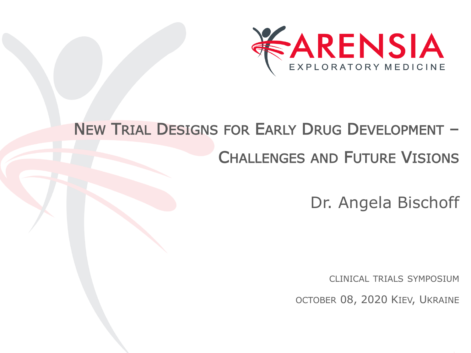

### NEW TRIAL DESIGNS FOR EARLY DRUG DEVELOPMENT –

#### CHALLENGES AND FUTURE VISIONS

Dr. Angela Bischoff

CLINICAL TRIALS SYMPOSIUM

OCTOBER 08, 2020 KIEV, UKRAINE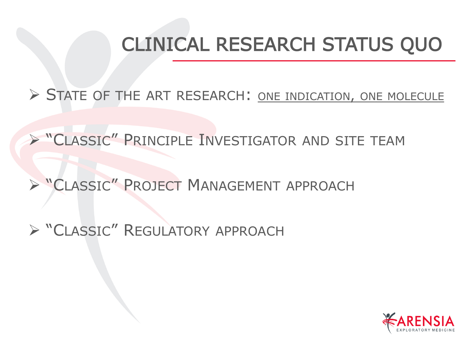## CLINICAL RESEARCH STATUS QUO

➢ STATE OF THE ART RESEARCH: ONE INDICATION, ONE MOLECULE

➢ "CLASSIC" PRINCIPLE INVESTIGATOR AND SITE TEAM

➢ "CLASSIC" PROJECT MANAGEMENT APPROACH

➢ "CLASSIC" REGULATORY APPROACH

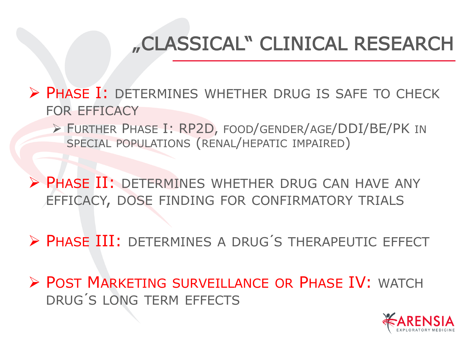# "CLASSICAL" CLINICAL RESEARCH

➢ PHASE I: DETERMINES WHETHER DRUG IS SAFE TO CHECK FOR EFFICACY

➢ FURTHER PHASE I: RP2D, FOOD/GENDER/AGE/DDI/BE/PK IN SPECIAL POPULATIONS (RENAL/HEPATIC IMPAIRED)

➢ PHASE II: DETERMINES WHETHER DRUG CAN HAVE ANY EFFICACY, DOSE FINDING FOR CONFIRMATORY TRIALS

➢ PHASE III: DETERMINES A DRUG´S THERAPEUTIC EFFECT

➢ POST MARKETING SURVEILLANCE OR PHASE IV: WATCH DRUG´S LONG TERM EFFECTS

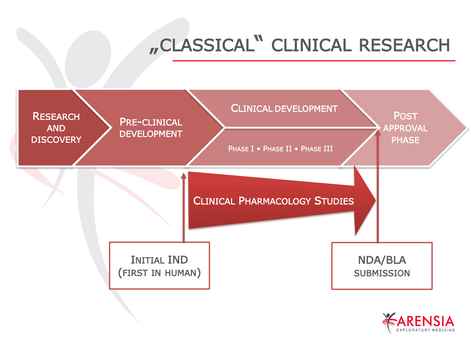# "CLASSICAL" CLINICAL RESEARCH



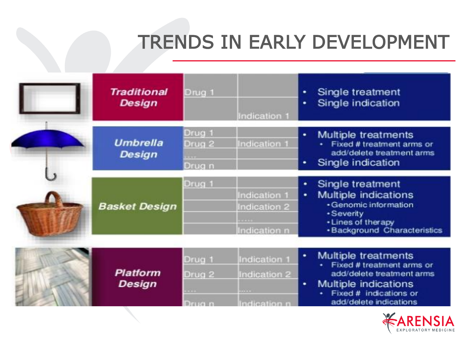## TRENDS IN EARLY DEVELOPMENT

| <b>Traditional</b><br><b>Design</b> | Drug 1                                         | Indication 1                                 | Single treatment<br>٠<br>Single indication<br>٠                                                                                                                       |
|-------------------------------------|------------------------------------------------|----------------------------------------------|-----------------------------------------------------------------------------------------------------------------------------------------------------------------------|
| <b>Umbrella</b><br>Design           | Drug 1<br>Drug <sub>2</sub><br>Drug n          | Indication 1                                 | Multiple treatments<br>٠<br>· Fixed # treatment arms or<br>add/delete treatment arms<br>Single indication<br>۰                                                        |
| <b>Basket Design</b>                | Drug 1                                         | Indication 1<br>Indication 2<br>Indication n | Single treatment<br>٠<br>Multiple indications<br>٠<br>· Genomic information<br><b>•Severity</b><br>• Lines of therapy<br><b>·Background Characteristics</b>           |
| <b>Platform</b><br><b>Design</b>    | Drug 1<br>Drug <sub>2</sub><br><b>DELIGION</b> | Indication 1<br>Indication 2<br>ndication n  | Multiple treatments<br>٠<br>· Fixed # treatment arms or<br>add/delete treatment arms<br>Multiple indications<br>٠<br>Fixed # indications or<br>add/delete indications |

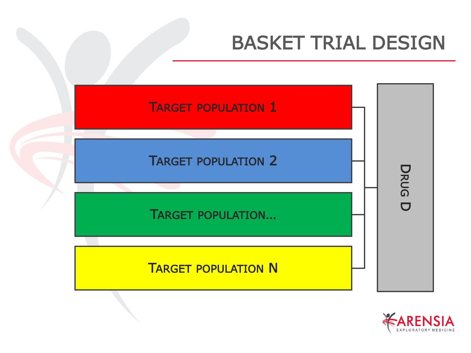## BASKET TRIAL DESIGN



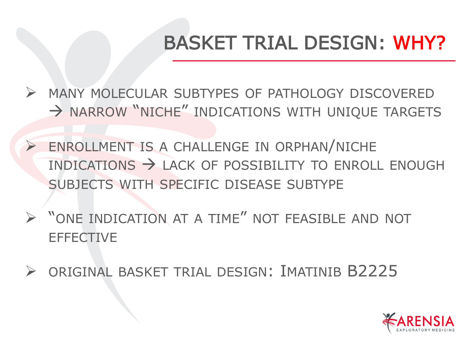# BASKET TRIAL DESIGN: WHY?

➢ MANY MOLECULAR SUBTYPES OF PATHOLOGY DISCOVERED  $\rightarrow$  NARROW "NICHE" INDICATIONS WITH UNIQUE TARGETS

- ➢ ENROLLMENT IS A CHALLENGE IN ORPHAN/NICHE INDICATIONS → LACK OF POSSIBILITY TO ENROLL ENOUGH SUBJECTS WITH SPECIFIC DISEASE SUBTYPE
- ➢ "ONE INDICATION AT A TIME" NOT FEASIBLE AND NOT **EFFECTIVE**
- ➢ ORIGINAL BASKET TRIAL DESIGN: IMATINIB B2225

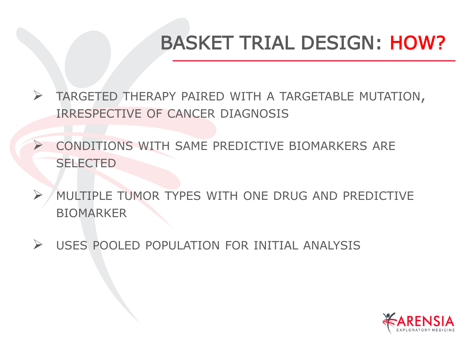# BASKET TRIAL DESIGN: HOW?

- ➢ TARGETED THERAPY PAIRED WITH A TARGETABLE MUTATION, IRRESPECTIVE OF CANCER DIAGNOSIS
- ➢ CONDITIONS WITH SAME PREDICTIVE BIOMARKERS ARE **SELECTED**
- ➢ MULTIPLE TUMOR TYPES WITH ONE DRUG AND PREDICTIVE BIOMARKER
- ➢ USES POOLED POPULATION FOR INITIAL ANALYSIS

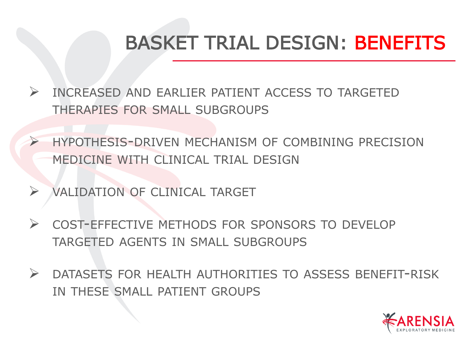## BASKET TRIAL DESIGN: BENEFITS

- ➢ INCREASED AND EARLIER PATIENT ACCESS TO TARGETED THERAPIES FOR SMALL SUBGROUPS
	- ➢ HYPOTHESIS-DRIVEN MECHANISM OF COMBINING PRECISION MEDICINE WITH CLINICAL TRIAL DESIGN
- ➢ VALIDATION OF CLINICAL TARGET
- ➢ COST-EFFECTIVE METHODS FOR SPONSORS TO DEVELOP TARGETED AGENTS IN SMALL SUBGROUPS
- ➢ DATASETS FOR HEALTH AUTHORITIES TO ASSESS BENEFIT-RISK IN THESE SMALL PATIENT GROUPS

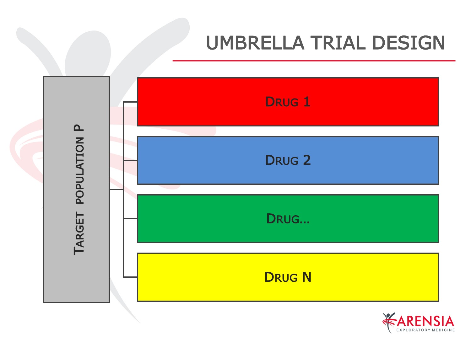## UMBRELLA TRIAL DESIGN



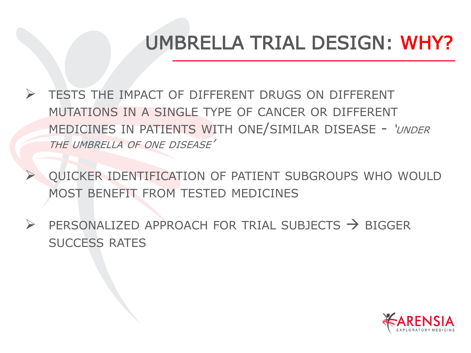## UMBRELLA TRIAL DESIGN: WHY?

➢ TESTS THE IMPACT OF DIFFERENT DRUGS ON DIFFERENT MUTATIONS IN A SINGLE TYPE OF CANCER OR DIFFERENT MEDICINES IN PATIENTS WITH ONE/SIMILAR DISEASE - 'UNDER THE UMBRELLA OF ONE DISEASE'

➢ QUICKER IDENTIFICATION OF PATIENT SUBGROUPS WHO WOULD MOST BENEFIT FROM TESTED MEDICINES

 $\triangleright$  PERSONALIZED APPROACH FOR TRIAL SUBJECTS  $\rightarrow$  BIGGER SUCCESS RATES

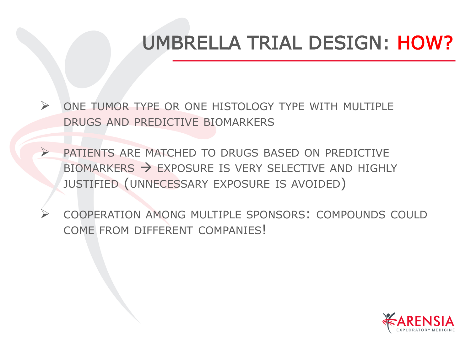## UMBRELLA TRIAL DESIGN: HOW?

- ➢ ONE TUMOR TYPE OR ONE HISTOLOGY TYPE WITH MULTIPLE DRUGS AND PREDICTIVE BIOMARKERS
- ➢ PATIENTS ARE MATCHED TO DRUGS BASED ON PREDICTIVE BIOMARKERS  $\rightarrow$  EXPOSURE IS VERY SELECTIVE AND HIGHLY JUSTIFIED (UNNECESSARY EXPOSURE IS AVOIDED)
- ➢ COOPERATION AMONG MULTIPLE SPONSORS: COMPOUNDS COULD COME FROM DIFFERENT COMPANIES!

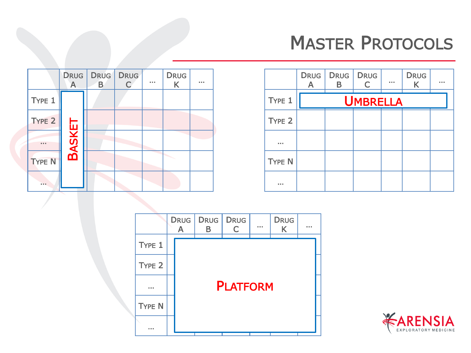## MASTER PROTOCOLS

|               | $\mathsf{A}$  | DRUG DRUG<br>B | <b>DRUG</b> | . | <b>DRUG</b><br>K | . |
|---------------|---------------|----------------|-------------|---|------------------|---|
| TYPE 1        |               |                |             |   |                  |   |
| TYPE 2        |               |                |             |   |                  |   |
|               | <b>BASKET</b> |                |             |   |                  |   |
| <b>TYPE N</b> |               |                |             |   |                  |   |
|               |               |                |             |   |                  |   |

|                   | <b>DRUG</b><br>Δ | DRUG  <br>R | <b>DRUG</b><br>$\overline{C}$ | 0.0.0 | <b>DRUG</b><br>K | . |
|-------------------|------------------|-------------|-------------------------------|-------|------------------|---|
| TYPE 1            |                  |             | <b>UMBRELLA</b>               |       |                  |   |
| TYPE <sub>2</sub> |                  |             |                               |       |                  |   |
|                   |                  |             |                               |       |                  |   |
| <b>TYPE N</b>     |                  |             |                               |       |                  |   |
|                   |                  |             |                               |       |                  |   |



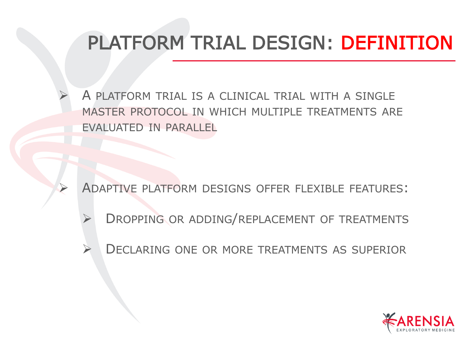# PLATFORM TRIAL DESIGN: DEFINITION

➢ A PLATFORM TRIAL IS A CLINICAL TRIAL WITH A SINGLE MASTER PROTOCOL IN WHICH MULTIPLE TREATMENTS ARE EVALUATED IN PARALLEL

➢ ADAPTIVE PLATFORM DESIGNS OFFER FLEXIBLE FEATURES:

- ➢ DROPPING OR ADDING/REPLACEMENT OF TREATMENTS
- ➢ DECLARING ONE OR MORE TREATMENTS AS SUPERIOR

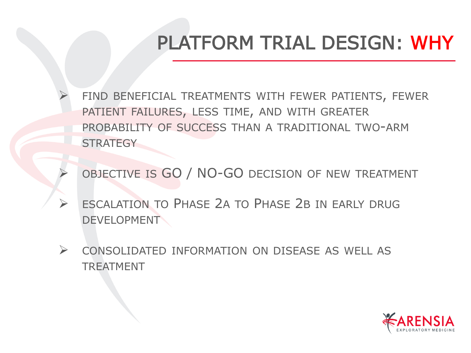## PLATFORM TRIAL DESIGN: WHY

FIND BENEFICIAL TREATMENTS WITH FEWER PATIENTS, FEWER PATIENT FAILURES, LESS TIME, AND WITH GREATER PROBABILITY OF SUCCESS THAN A TRADITIONAL TWO-ARM **STRATEGY** 

OBJECTIVE IS GO / NO-GO DECISION OF NEW TREATMENT

- ESCALATION TO PHASE 2A TO PHASE 2B IN EARLY DRUG **DEVELOPMENT**
- ➢ CONSOLIDATED INFORMATION ON DISEASE AS WELL AS TREATMENT

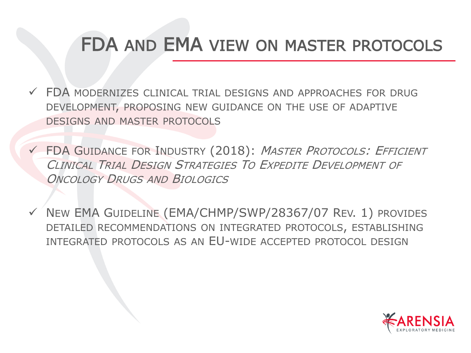#### FDA AND EMA VIEW ON MASTER PROTOCOLS

- $\checkmark$  FDA MODERNIZES CLINICAL TRIAL DESIGNS AND APPROACHES FOR DRUG DEVELOPMENT, PROPOSING NEW GUIDANCE ON THE USE OF ADAPTIVE DESIGNS AND MASTER PROTOCOLS
- ✓ FDA GUIDANCE FOR INDUSTRY (2018): MASTER PROTOCOLS: EFFICIENT CLINICAL TRIAL DESIGN STRATEGIES TO EXPEDITE DEVELOPMENT OF ONCOLOGY DRUGS AND BIOLOGICS
- ✓ NEW EMA GUIDELINE (EMA/CHMP/SWP/28367/07 REV. 1) PROVIDES DETAILED RECOMMENDATIONS ON INTEGRATED PROTOCOLS, ESTABLISHING INTEGRATED PROTOCOLS AS AN EU-WIDE ACCEPTED PROTOCOL DESIGN

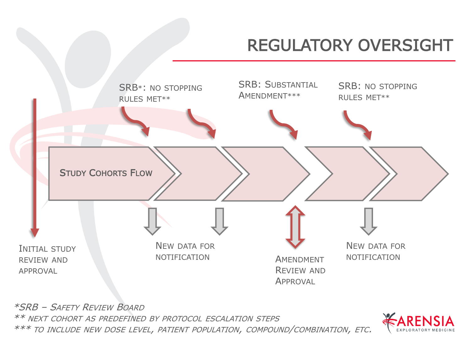#### REGULATORY OVERSIGHT



\*SRB – SAFETY REVIEW BOARD \*\* NEXT COHORT AS PREDEFINED BY PROTOCOL ESCALATION STEPS



\*\*\* TO INCLUDE NEW DOSE LEVEL, PATIENT POPULATION, COMPOUND/COMBINATION, ETC.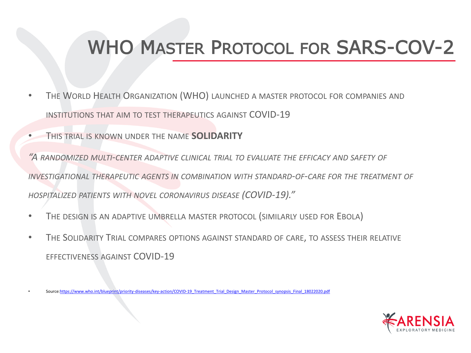## WHO MASTER PROTOCOL FOR SARS-COV-2

- THE WORLD HEALTH ORGANIZATION (WHO) LAUNCHED A MASTER PROTOCOL FOR COMPANIES AND INSTITUTIONS THAT AIM TO TEST THERAPEUTICS AGAINST COVID-19
- THIS TRIAL IS KNOWN UNDER THE NAME **SOLIDARITY**

*"A RANDOMIZED MULTI-CENTER ADAPTIVE CLINICAL TRIAL TO EVALUATE THE EFFICACY AND SAFETY OF INVESTIGATIONAL THERAPEUTIC AGENTS IN COMBINATION WITH STANDARD-OF-CARE FOR THE TREATMENT OF HOSPITALIZED PATIENTS WITH NOVEL CORONAVIRUS DISEASE (COVID-19)."*

- THE DESIGN IS AN ADAPTIVE UMBRELLA MASTER PROTOCOL (SIMILARLY USED FOR EBOLA)
- THE SOLIDARITY TRIAL COMPARES OPTIONS AGAINST STANDARD OF CARE, TO ASSESS THEIR RELATIVE EFFECTIVENESS AGAINST COVID-19



<sup>•</sup> Source:[https://www.who.int/blueprint/priority-diseases/key-action/COVID-19\\_Treatment\\_Trial\\_Design\\_Master\\_Protocol\\_synopsis\\_Final\\_18022020.pdf](https://www.who.int/blueprint/priority-diseases/key-action/COVID-19_Treatment_Trial_Design_Master_Protocol_synopsis_Final_18022020.pdf)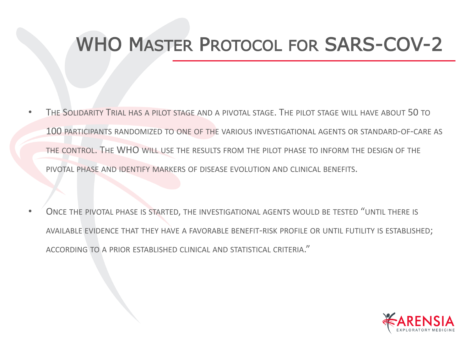## WHO MASTER PROTOCOL FOR SARS-COV-2

- THE SOLIDARITY TRIAL HAS A PILOT STAGE AND A PIVOTAL STAGE. THE PILOT STAGE WILL HAVE ABOUT 50 TO 100 PARTICIPANTS RANDOMIZED TO ONE OF THE VARIOUS INVESTIGATIONAL AGENTS OR STANDARD-OF-CARE AS THE CONTROL. THE WHO WILL USE THE RESULTS FROM THE PILOT PHASE TO INFORM THE DESIGN OF THE PIVOTAL PHASE AND IDENTIFY MARKERS OF DISEASE EVOLUTION AND CLINICAL BENEFITS.
- ONCE THE PIVOTAL PHASE IS STARTED, THE INVESTIGATIONAL AGENTS WOULD BE TESTED "UNTIL THERE IS AVAILABLE EVIDENCE THAT THEY HAVE A FAVORABLE BENEFIT-RISK PROFILE OR UNTIL FUTILITY IS ESTABLISHED; ACCORDING TO A PRIOR ESTABLISHED CLINICAL AND STATISTICAL CRITERIA."

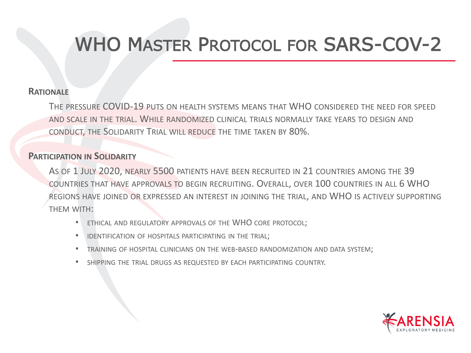## WHO MASTER PROTOCOL FOR SARS-COV-2

#### **RATIONALE**

THE PRESSURE COVID-19 PUTS ON HEALTH SYSTEMS MEANS THAT WHO CONSIDERED THE NEED FOR SPEED AND SCALE IN THE TRIAL. WHILE RANDOMIZED CLINICAL TRIALS NORMALLY TAKE YEARS TO DESIGN AND CONDUCT, THE SOLIDARITY TRIAL WILL REDUCE THE TIME TAKEN BY 80%.

#### **PARTICIPATION IN SOLIDARITY**

AS OF 1 JULY 2020, NEARLY 5500 PATIENTS HAVE BEEN RECRUITED IN 21 COUNTRIES AMONG THE 39 COUNTRIES THAT HAVE APPROVALS TO BEGIN RECRUITING. OVERALL, OVER 100 COUNTRIES IN ALL 6 WHO REGIONS HAVE JOINED OR EXPRESSED AN INTEREST IN JOINING THE TRIAL, AND WHO IS ACTIVELY SUPPORTING THEM WITH:

- ETHICAL AND REGULATORY APPROVALS OF THE WHO CORE PROTOCOL;
- IDENTIFICATION OF HOSPITALS PARTICIPATING IN THE TRIAL;
- TRAINING OF HOSPITAL CLINICIANS ON THE WEB-BASED RANDOMIZATION AND DATA SYSTEM;
- SHIPPING THE TRIAL DRUGS AS REQUESTED BY EACH PARTICIPATING COUNTRY.

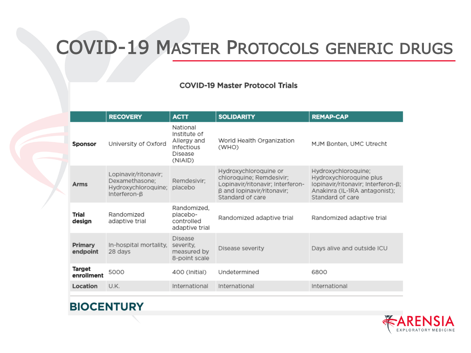### COVID-19 MASTER PROTOCOLS GENERIC DRUGS

#### **COVID-19 Master Protocol Trials**

|                      | <b>RECOVERY</b>                                                                           | <b>ACTT</b>                                                                 | <b>SOLIDARITY</b>                                                                                                                       | <b>REMAP-CAP</b>                                                                                                                          |
|----------------------|-------------------------------------------------------------------------------------------|-----------------------------------------------------------------------------|-----------------------------------------------------------------------------------------------------------------------------------------|-------------------------------------------------------------------------------------------------------------------------------------------|
| Sponsor              | University of Oxford                                                                      | National<br>Institute of<br>Allergy and<br>Infectious<br>Disease<br>(NIAID) | World Health Organization<br>(WHO)                                                                                                      | MJM Bonten, UMC Utrecht                                                                                                                   |
| Arms                 | Lopinavir/ritonavir;<br>Dexamethasone:<br>Hydroxychloroquine;<br>Interferon- <sub>B</sub> | Remdesivir:<br>placebo                                                      | Hydroxychloroquine or<br>chloroquine; Remdesivir;<br>Lopinavir/ritonavir; Interferon-<br>B and lopinavir/ritonavir:<br>Standard of care | Hydroxychloroquine;<br>Hydroxychloroquine plus<br>lopinavir/ritonavir; Interferon-ß;<br>Anakinra (IL-1RA antagonist);<br>Standard of care |
| Trial<br>design      | Randomized<br>adaptive trial                                                              | Randomized.<br>placebo-<br>controlled<br>adaptive trial                     | Randomized adaptive trial                                                                                                               | Randomized adaptive trial                                                                                                                 |
| Primary<br>endpoint  | In-hospital mortality.<br>28 days                                                         | <b>Disease</b><br>severity.<br>measured by<br>8-point scale                 | Disease severity                                                                                                                        | Days alive and outside ICU                                                                                                                |
| Target<br>enrollment | 5000                                                                                      | 400 (Initial)                                                               | Undetermined                                                                                                                            | 6800                                                                                                                                      |
| Location             | U.K.                                                                                      | International                                                               | International                                                                                                                           | International                                                                                                                             |



#### **BIOCENTURY**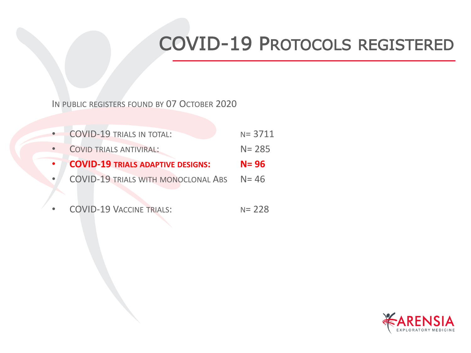## COVID-19 PROTOCOLS REGISTERED

IN PUBLIC REGISTERS FOUND BY 07 OCTOBER 2020

|           | <b>COVID-19 TRIALS IN TOTAL:</b>         | $N = 3711$ |
|-----------|------------------------------------------|------------|
|           | <b>COVID TRIALS ANTIVIRAL:</b>           | $N = 285$  |
|           |                                          |            |
| $\bullet$ | <b>COVID-19 TRIALS ADAPTIVE DESIGNS:</b> | $N = 96$   |

COVID-19 VACCINE TRIALS: N= 228

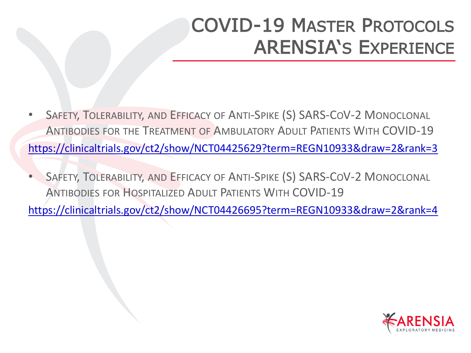## COVID-19 MASTER PROTOCOLS ARENSIA'S EXPERIENCE

- SAFETY, TOLERABILITY, AND EFFICACY OF ANTI-SPIKE (S) SARS-COV-2 MONOCLONAL ANTIBODIES FOR THE TREATMENT OF AMBULATORY ADULT PATIENTS WITH COVID-19 <https://clinicaltrials.gov/ct2/show/NCT04425629?term=REGN10933&draw=2&rank=3>
- SAFETY, TOLERABILITY, AND EFFICACY OF ANTI-SPIKE (S) SARS-COV-2 MONOCLONAL ANTIBODIES FOR HOSPITALIZED ADULT PATIENTS WITH COVID-19

<https://clinicaltrials.gov/ct2/show/NCT04426695?term=REGN10933&draw=2&rank=4>

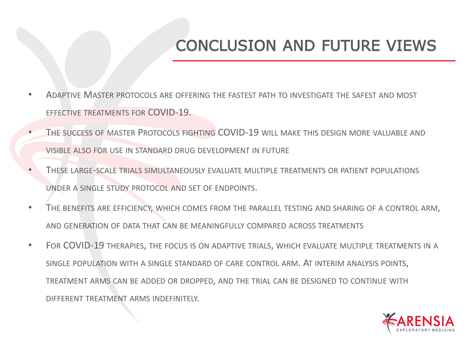#### CONCLUSION AND FUTURE VIEWS

- ADAPTIVE MASTER PROTOCOLS ARE OFFERING THE FASTEST PATH TO INVESTIGATE THE SAFEST AND MOST EFFECTIVE TREATMENTS FOR COVID-19.
- THE SUCCESS OF MASTER PROTOCOLS FIGHTING COVID-19 WILL MAKE THIS DESIGN MORE VALUABLE AND VISIBLE ALSO FOR USE IN STANDARD DRUG DEVELOPMENT IN FUTURE
- THESE LARGE-SCALE TRIALS SIMULTANEOUSLY EVALUATE MULTIPLE TREATMENTS OR PATIENT POPULATIONS UNDER A SINGLE STUDY PROTOCOL AND SET OF ENDPOINTS.
- THE BENEFITS ARE EFFICIENCY, WHICH COMES FROM THE PARALLEL TESTING AND SHARING OF A CONTROL ARM, AND GENERATION OF DATA THAT CAN BE MEANINGFULLY COMPARED ACROSS TREATMENTS
- FOR COVID-19 THERAPIES, THE FOCUS IS ON ADAPTIVE TRIALS, WHICH EVALUATE MULTIPLE TREATMENTS IN A SINGLE POPULATION WITH A SINGLE STANDARD OF CARE CONTROL ARM. AT INTERIM ANALYSIS POINTS, TREATMENT ARMS CAN BE ADDED OR DROPPED, AND THE TRIAL CAN BE DESIGNED TO CONTINUE WITH DIFFERENT TREATMENT ARMS INDEFINITELY.

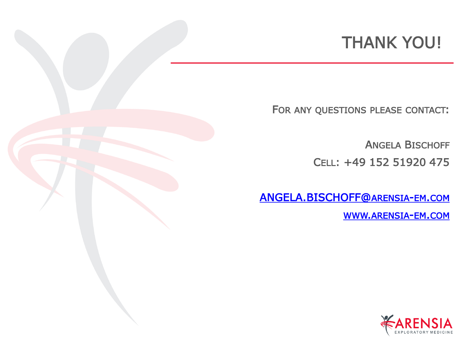#### THANK YOU!

FOR ANY QUESTIONS PLEASE CONTACT:

ANGELA BISCHOFF CELL: +49 152 51920 475

[ANGELA.BISCHOFF@](mailto:gabi.hesselmann@arensia-em.com)ARENSIA-EM.COM

WWW.[ARENSIA](http://www.arensia-em-com/)-EM.COM

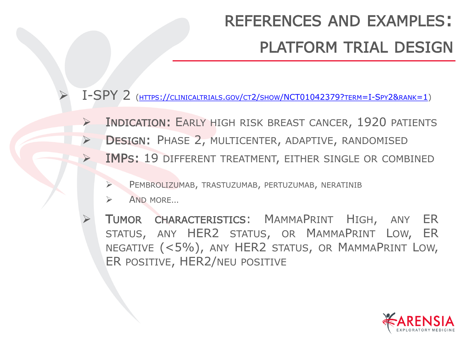## REFERENCES AND EXAMPLES: PLATFORM TRIAL DESIGN

➢ I-SPY 2 (HTTPS://CLINICALTRIALS.GOV/CT2/SHOW[/NCT01042379?](https://clinicaltrials.gov/ct2/show/NCT01042379?term=I-Spy2&rank=1)TERM=I-SPY2&RANK=1)

- ➢ INDICATION: EARLY HIGH RISK BREAST CANCER, 1920 PATIENTS
- ➢ DESIGN: PHASE 2, MULTICENTER, ADAPTIVE, RANDOMISED
- ➢ IMPS: 19 DIFFERENT TREATMENT, EITHER SINGLE OR COMBINED
	- ➢ PEMBROLIZUMAB, TRASTUZUMAB, PERTUZUMAB, NERATINIB
	- ➢ AND MORE…
	- ➢ TUMOR CHARACTERISTICS: MAMMAPRINT HIGH, ANY ER STATUS, ANY HER2 STATUS, OR MAMMAPRINT LOW, ER NEGATIVE (<5%), ANY HER2 STATUS, OR MAMMAPRINT LOW, ER POSITIVE, HER2/NEU POSITIVE

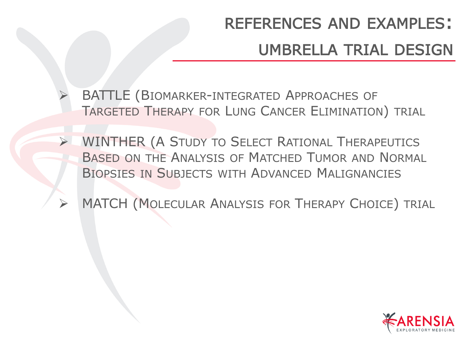## REFERENCES AND EXAMPLES: UMBRELLA TRIAL DESIGN

BATTLE (BIOMARKER-INTEGRATED APPROACHES OF TARGETED THERAPY FOR LUNG CANCER ELIMINATION) TRIAL

- ➢ WINTHER (A STUDY TO SELECT RATIONAL THERAPEUTICS BASED ON THE ANALYSIS OF MATCHED TUMOR AND NORMAL BIOPSIES IN SUBJECTS WITH ADVANCED MALIGNANCIES
	- MATCH (MOLECULAR ANALYSIS FOR THERAPY CHOICE) TRIAL

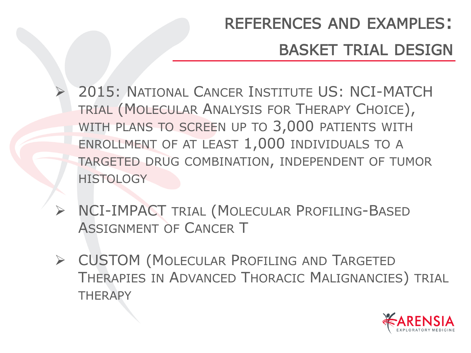## REFERENCES AND EXAMPLES: BASKET TRIAL DESIGN

- ➢ 2015: NATIONAL CANCER INSTITUTE US: NCI-MATCH TRIAL (MOLECULAR ANALYSIS FOR THERAPY CHOICE), WITH PLANS TO SCREEN UP TO 3,000 PATIENTS WITH ENROLLMENT OF AT LEAST 1,000 INDIVIDUALS TO A TARGETED DRUG COMBINATION, INDEPENDENT OF TUMOR **HISTOLOGY**
- ➢ NCI-IMPACT TRIAL (MOLECULAR PROFILING-BASED ASSIGNMENT OF CANCER T
- ➢ CUSTOM (MOLECULAR PROFILING AND TARGETED THERAPIES IN ADVANCED THORACIC MALIGNANCIES) TRIAL **THERAPY**

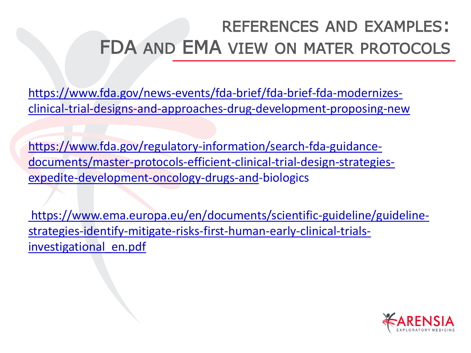### REFERENCES AND EXAMPLES: FDA AND EMA VIEW ON MATER PROTOCOLS

[https://www.fda.gov/news-events/fda-brief/fda-brief-fda-modernizes](https://www.fda.gov/news-events/fda-brief/fda-brief-fda-modernizes-clinical-trial-designs-and-approaches-drug-development-proposing-new)clinical-trial-designs-and-approaches-drug-development-proposing-new

https://www.fda.gov/regulatory-information/search-fda-guidance[documents/master-protocols-efficient-clinical-trial-design-strategies](https://www.fda.gov/regulatory-information/search-fda-guidance-documents/master-protocols-efficient-clinical-trial-design-strategies-expedite-development-oncology-drugs-and)expedite-development-oncology-drugs-and-biologics

[https://www.ema.europa.eu/en/documents/scientific-guideline/guideline](https://www.ema.europa.eu/en/documents/scientific-guideline/guideline-strategies-identify-mitigate-risks-first-human-early-clinical-trials-investigational_en.pdf)strategies-identify-mitigate-risks-first-human-early-clinical-trialsinvestigational en.pdf

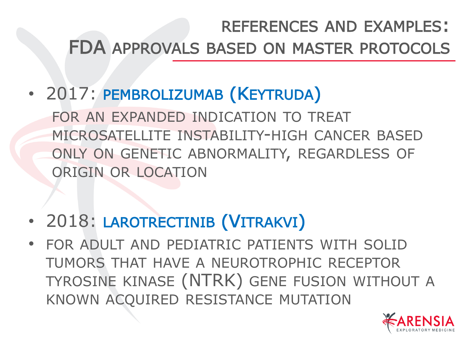### REFERENCES AND EXAMPLES: FDA APPROVALS BASED ON MASTER PROTOCOLS

• 2017: PEMBROLIZUMAB (KEYTRUDA)

FOR AN EXPANDED INDICATION TO TREAT MICROSATELLITE INSTABILITY-HIGH CANCER BASED ONLY ON GENETIC ABNORMALITY, REGARDLESS OF ORIGIN OR LOCATION

- 2018: LAROTRECTINIB (VITRAKVI)
- FOR ADULT AND PEDIATRIC PATIENTS WITH SOLID TUMORS THAT HAVE A NEUROTROPHIC RECEPTOR TYROSINE KINASE (NTRK) GENE FUSION WITHOUT A KNOWN ACQUIRED RESISTANCE MUTATION